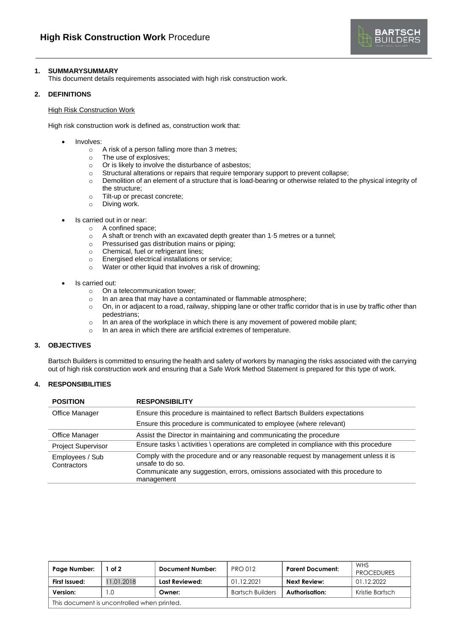

# **1. SUMMARYSUMMARY**

This document details requirements associated with high risk construction work.

### **2. DEFINITIONS**

### High Risk Construction Work

High risk construction work is defined as, construction work that:

- Involves:
	- o A risk of a person falling more than 3 metres;
	- o The use of explosives;
	- o Or is likely to involve the disturbance of asbestos;
	- o Structural alterations or repairs that require temporary support to prevent collapse;
	- o Demolition of an element of a structure that is load-bearing or otherwise related to the physical integrity of
	- the structure; o Tilt-up or precast concrete;
	-
	- o Diving work.
- Is carried out in or near:
	- o A confined space;
	- o A shaft or trench with an excavated depth greater than 1·5 metres or a tunnel;
	- o Pressurised gas distribution mains or piping;
	- o Chemical, fuel or refrigerant lines;
	- o Energised electrical installations or service;
	- o Water or other liquid that involves a risk of drowning;
- Is carried out:
	- o On a telecommunication tower;
	- o In an area that may have a contaminated or flammable atmosphere;
	- $\circ$  On, in or adjacent to a road, railway, shipping lane or other traffic corridor that is in use by traffic other than pedestrians;
	- $\circ$  In an area of the workplace in which there is any movement of powered mobile plant;
	- o In an area in which there are artificial extremes of temperature.

## **3. OBJECTIVES**

Bartsch Builders is committed to ensuring the health and safety of workers by managing the risks associated with the carrying out of high risk construction work and ensuring that a Safe Work Method Statement is prepared for this type of work.

### **4. RESPONSIBILITIES**

| <b>POSITION</b>                | <b>RESPONSIBILITY</b>                                                                                                                                                                                   |
|--------------------------------|---------------------------------------------------------------------------------------------------------------------------------------------------------------------------------------------------------|
| Office Manager                 | Ensure this procedure is maintained to reflect Bartsch Builders expectations                                                                                                                            |
|                                | Ensure this procedure is communicated to employee (where relevant)                                                                                                                                      |
| Office Manager                 | Assist the Director in maintaining and communicating the procedure                                                                                                                                      |
| <b>Project Supervisor</b>      | Ensure tasks \ activities \ operations are completed in compliance with this procedure                                                                                                                  |
| Employees / Sub<br>Contractors | Comply with the procedure and or any reasonable request by management unless it is<br>unsafe to do so.<br>Communicate any suggestion, errors, omissions associated with this procedure to<br>management |

| Page Number:                                | of 2       | <b>Document Number:</b> | <b>PRO 012</b>          | <b>Parent Document:</b> | WHS<br><b>PROCEDURES</b> |  |
|---------------------------------------------|------------|-------------------------|-------------------------|-------------------------|--------------------------|--|
| First Issued:                               | 11.01.2018 | Last Reviewed:          | 01.12.2021              | Next Review:            | 01.12.2022               |  |
| Version:                                    | $\Omega$ . | Owner:                  | <b>Bartsch Builders</b> | Authorisation:          | Kristie Bartsch          |  |
| This document is uncontrolled when printed. |            |                         |                         |                         |                          |  |